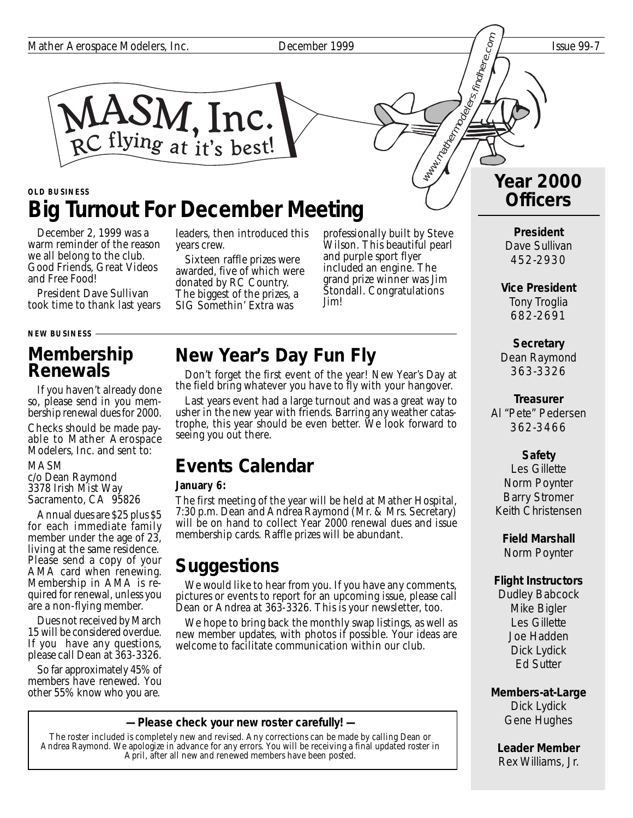

### **Big Turnout For December Meeting OLD BUSINESS**

December 2, 1999 was a warm reminder of the reason we all belong to the club. Good Friends, Great Videos and Free Food!

President Dave Sullivan took time to thank last years

**NEW BUSINESS**

## **Membership Renewals**

If you haven't already done so, please send in you membership renewal dues for 2000.

Checks should be made payable to Mather Aerospace Modelers, Inc. and sent to:

MASM

c/o Dean Raymond 3378 Irish Mist Way Sacramento, CA 95826

Annual dues are \$25 plus \$5 for each immediate family member under the age of 23, living at the same residence. Please send a copy of your AMA card when renewing. Membership in AMA is required for renewal, unless you are a non-flying member.

Dues not received by March 15 will be considered overdue. If you have any questions, please call Dean at 363-3326.

So far approximately 45% of members have renewed. You other 55% know who you are.

leaders, then introduced this years crew.

Sixteen raffle prizes were awarded, five of which were donated by RC Country. The biggest of the prizes, a SIG Somethin' Extra was

professionally built by Steve Wilson. This beautiful pearl and purple sport flyer included an engine. The grand prize winner was Jim Stondall. Congratulations Jim!

# **New Year's Day Fun Fly**

Don't forget the first event of the year! New Year's Day at the field bring whatever you have to fly with your hangover.

Last years event had a large turnout and was a great way to usher in the new year with friends. Barring any weather catastrophe, this year should be even better. We look forward to seeing you out there.

## **Events Calendar**

#### **January 6:**

The first meeting of the year will be held at Mather Hospital, 7:30 p.m. Dean and Andrea Raymond (Mr. & Mrs. Secretary) will be on hand to collect Year 2000 renewal dues and issue membership cards. Raffle prizes will be abundant.

## **Suggestions**

We would like to hear from you. If you have any comments, pictures or events to report for an upcoming issue, please call Dean or Andrea at 363-3326. This is your newsletter, too.

We hope to bring back the monthly swap listings, as well as new member updates, with photos if possible. Your ideas are welcome to facilitate communication within our club.

**— Please check your new roster carefully! —**

The roster included is completely new and revised. Any corrections can be made by calling Dean or Andrea Raymond. We apologize in advance for any errors. You will be receiving a final updated roster in April, after all new and renewed members have been posted.

# **Year 2000 Officers** Watermodelers.findhere.com

**President** Dave Sullivan 452-2930

**Vice President** Tony Troglia 682-2691

**Secretary** Dean Raymond 363-3326

**Treasurer** Al "Pete" Pedersen 362-3466

#### **Safety**

Les Gillette Norm Poynter Barry Stromer Keith Christensen

**Field Marshall** Norm Poynter

#### **Flight Instructors**

Dudley Babcock Mike Bigler Les Gillette Joe Hadden Dick Lydick Ed Sutter

**Members-at-Large** Dick Lydick Gene Hughes

**Leader Member** Rex Williams, Jr.